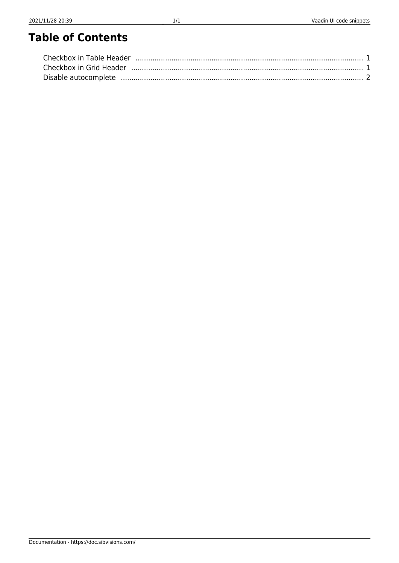# **Table of Contents**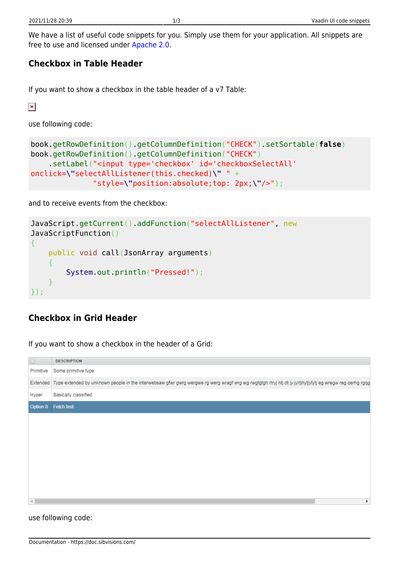We have a list of useful code snippets for you. Simply use them for your application. All snippets are free to use and licensed under [Apache 2.0.](https://www.apache.org/licenses/LICENSE-2.0)

## <span id="page-1-0"></span>**Checkbox in Table Header**

If you want to show a checkbox in the table header of a v7 Table:

 $\pmb{\times}$ 

use following code:

```
book.getRowDefinition().getColumnDefinition("CHECK").setSortable(false)
book.getRowDefinition().getColumnDefinition("CHECK")
     .setLabel("<input type='checkbox' id='checkboxSelectAll'
onclick=\"selectAllListener(this.checked)\" " +
               "style=\"position:absolute;top: 2px;\"/>");
```
and to receive events from the checkbox:

```
JavaScript.getCurrent().addFunction("selectAllListener", new
JavaScriptFunction()
{
     public void call(JsonArray arguments)
     {
         System.out.println("Pressed!");
 }
});
```
## <span id="page-1-1"></span>**Checkbox in Grid Header**

If you want to show a checkbox in the header of a Grid:

| $\Box$       | <b>DESCRIPTION</b>                                                                                                                                                |
|--------------|-------------------------------------------------------------------------------------------------------------------------------------------------------------------|
| Primitive    | Some primitive type.                                                                                                                                              |
|              | Extended Type extended by unknown people in the interwebsaw gfwr gwrg wergwe rg werg wragf wrg wg rwgtgtgh rtryj htj dt jy jyrtjhytjytytj eg wregw reg qerhg rgqg |
| Hyper        | Basically classified.                                                                                                                                             |
| Option 0     | Fetch test.                                                                                                                                                       |
|              |                                                                                                                                                                   |
|              |                                                                                                                                                                   |
|              |                                                                                                                                                                   |
|              |                                                                                                                                                                   |
|              |                                                                                                                                                                   |
|              |                                                                                                                                                                   |
|              |                                                                                                                                                                   |
| $\mathbf{d}$ |                                                                                                                                                                   |

use following code: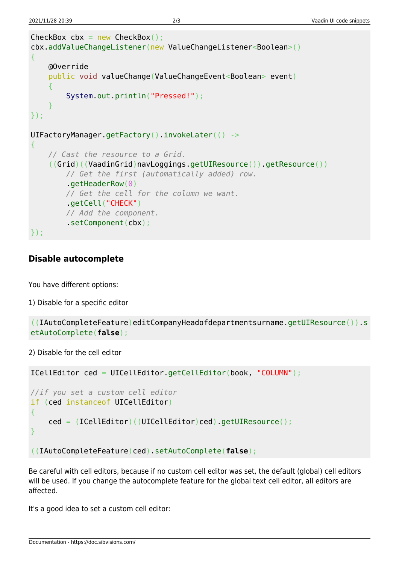```
CheckBox cbx = new CheckBox();
cbx.addValueChangeListener(new ValueChangeListener<Boolean>()
{
     @Override
     public void valueChange(ValueChangeEvent<Boolean> event)
    \overline{A} System.out.println("Pressed!");
     }
});
UIFactoryManager.getFactory().invokeLater(() ->
{
     // Cast the resource to a Grid.
     ((Grid)((VaadinGrid)navLoggings.getUIResource()).getResource())
         // Get the first (automatically added) row.
          .getHeaderRow(0)
         // Get the cell for the column we want.
         .getCell("CHECK")
         // Add the component.
         .setComponent(cbx);
});
```
#### <span id="page-2-0"></span>**Disable autocomplete**

You have different options:

```
1) Disable for a specific editor
```

```
((IAutoCompleteFeature)editCompanyHeadofdepartmentsurname.getUIResource()).s
etAutoComplete(false);
```
2) Disable for the cell editor

```
ICellEditor ced = UICellEditor.getCellEditor(book, "COLUMN");
//if you set a custom cell editor
if (ced instanceof UICellEditor)
{
     ced = (ICellEditor)((UICellEditor)ced).getUIResource();
}
((IAutoCompleteFeature)ced).setAutoComplete(false);
```
Be careful with cell editors, because if no custom cell editor was set, the default (global) cell editors will be used. If you change the autocomplete feature for the global text cell editor, all editors are affected.

It's a good idea to set a custom cell editor: